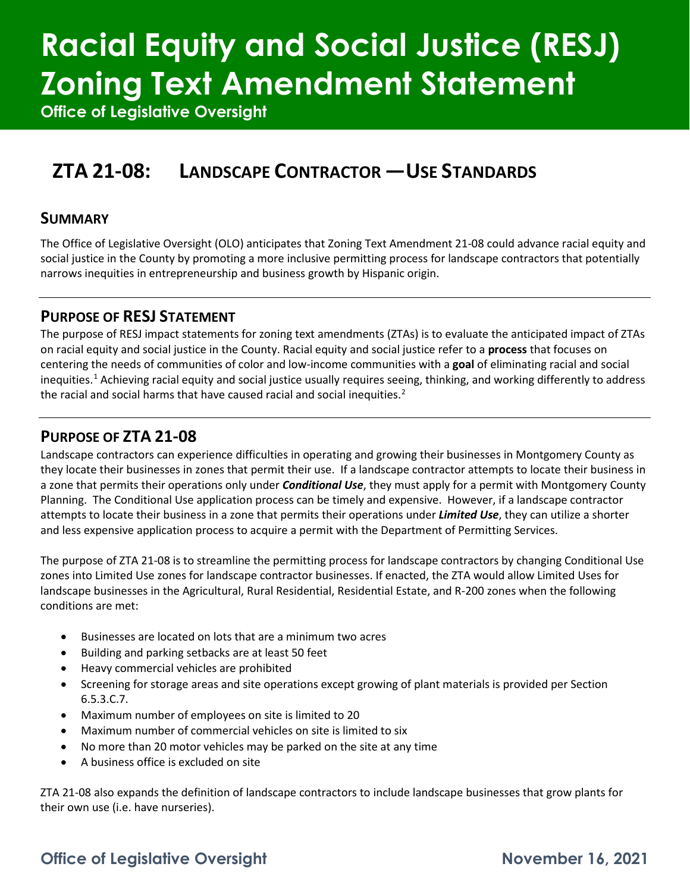# **Racial Equity and Social Justice (RESJ) Zoning Text Amendment Statement**

**Office of Legislative Oversight**

# **ZTA 21-08: LANDSCAPE CONTRACTOR —USE STANDARDS**

### **SUMMARY**

The Office of Legislative Oversight (OLO) anticipates that Zoning Text Amendment 21-08 could advance racial equity and social justice in the County by promoting a more inclusive permitting process for landscape contractors that potentially narrows inequities in entrepreneurship and business growth by Hispanic origin.

### **PURPOSE OF RESJ STATEMENT**

The purpose of RESJ impact statements for zoning text amendments (ZTAs) is to evaluate the anticipated impact of ZTAs on racial equity and social justice in the County. Racial equity and social justice refer to a **process** that focuses on centering the needs of communities of color and low-income communities with a **goal** of eliminating racial and social inequities.[1](#page-5-0) Achieving racial equity and social justice usually requires seeing, thinking, and working differently to address the racial and social harms that have caused racial and social inequities.<sup>[2](#page-5-1)</sup>

### **PURPOSE OF ZTA 21-08**

Landscape contractors can experience difficulties in operating and growing their businesses in Montgomery County as they locate their businesses in zones that permit their use. If a landscape contractor attempts to locate their business in a zone that permits their operations only under *Conditional Use*, they must apply for a permit with Montgomery County Planning. The Conditional Use application process can be timely and expensive. However, if a landscape contractor attempts to locate their business in a zone that permits their operations under *Limited Use*, they can utilize a shorter and less expensive application process to acquire a permit with the Department of Permitting Services.

The purpose of ZTA 21-08 is to streamline the permitting process for landscape contractors by changing Conditional Use zones into Limited Use zones for landscape contractor businesses. If enacted, the ZTA would allow Limited Uses for landscape businesses in the Agricultural, Rural Residential, Residential Estate, and R-200 zones when the following conditions are met:

- Businesses are located on lots that are a minimum two acres
- Building and parking setbacks are at least 50 feet
- Heavy commercial vehicles are prohibited
- Screening for storage areas and site operations except growing of plant materials is provided per Section 6.5.3.C.7.
- Maximum number of employees on site is limited to 20
- Maximum number of commercial vehicles on site is limited to six
- No more than 20 motor vehicles may be parked on the site at any time
- A business office is excluded on site

ZTA 21-08 also expands the definition of landscape contractors to include landscape businesses that grow plants for their own use (i.e. have nurseries).

## **Office of Legislative Oversight November 16, 2021**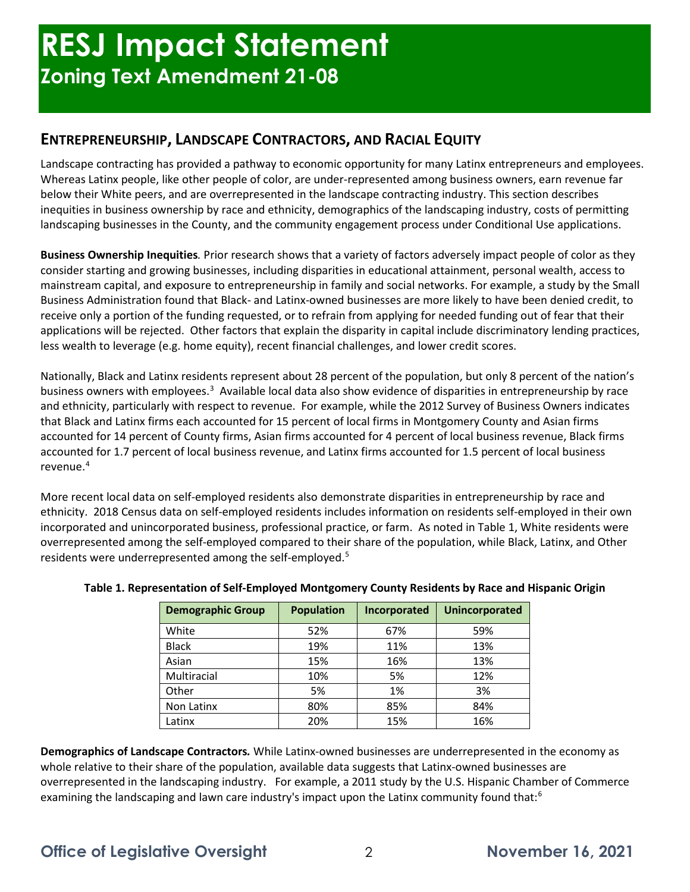### **ENTREPRENEURSHIP, LANDSCAPE CONTRACTORS, AND RACIAL EQUITY**

Landscape contracting has provided a pathway to economic opportunity for many Latinx entrepreneurs and employees. Whereas Latinx people, like other people of color, are under-represented among business owners, earn revenue far below their White peers, and are overrepresented in the landscape contracting industry. This section describes inequities in business ownership by race and ethnicity, demographics of the landscaping industry, costs of permitting landscaping businesses in the County, and the community engagement process under Conditional Use applications.

**Business Ownership Inequities***.* Prior research shows that a variety of factors adversely impact people of color as they consider starting and growing businesses, including disparities in educational attainment, personal wealth, access to mainstream capital, and exposure to entrepreneurship in family and social networks. For example, a study by the Small Business Administration found that Black- and Latinx-owned businesses are more likely to have been denied credit, to receive only a portion of the funding requested, or to refrain from applying for needed funding out of fear that their applications will be rejected. Other factors that explain the disparity in capital include discriminatory lending practices, less wealth to leverage (e.g. home equity), recent financial challenges, and lower credit scores.

Nationally, Black and Latinx residents represent about 28 percent of the population, but only 8 percent of the nation's business owners with employees.<sup>3</sup> Available local data also show evidence of disparities in entrepreneurship by race and ethnicity, particularly with respect to revenue. For example, while the 2012 Survey of Business Owners indicates that Black and Latinx firms each accounted for 15 percent of local firms in Montgomery County and Asian firms accounted for 14 percent of County firms, Asian firms accounted for 4 percent of local business revenue, Black firms accounted for 1.7 percent of local business revenue, and Latinx firms accounted for 1.5 percent of local business revenue.[4](#page-6-0)

More recent local data on self-employed residents also demonstrate disparities in entrepreneurship by race and ethnicity. 2018 Census data on self-employed residents includes information on residents self-employed in their own incorporated and unincorporated business, professional practice, or farm. As noted in Table 1, White residents were overrepresented among the self-employed compared to their share of the population, while Black, Latinx, and Other residents were underrepresented among the self-employed.<sup>[5](#page-6-1)</sup>

| <b>Demographic Group</b> | <b>Population</b> | Incorporated | <b>Unincorporated</b> |
|--------------------------|-------------------|--------------|-----------------------|
| White                    | 52%               | 67%          | 59%                   |
| <b>Black</b>             | 19%               | 11%          | 13%                   |
| Asian                    | 15%               | 16%          | 13%                   |
| Multiracial              | 10%               | 5%           | 12%                   |
| Other                    | 5%                | 1%           | 3%                    |
| Non Latinx               | 80%               | 85%          | 84%                   |
| Latinx                   | 20%               | 15%          | 16%                   |

#### **Table 1. Representation of Self-Employed Montgomery County Residents by Race and Hispanic Origin**

**Demographics of Landscape Contractors***.* While Latinx-owned businesses are underrepresented in the economy as whole relative to their share of the population, available data suggests that Latinx-owned businesses are overrepresented in the landscaping industry. For example, a 2011 study by the U.S. Hispanic Chamber of Commerce examining the landscaping and lawn care industry's impact upon the Latinx community found that:<sup>[6](#page-6-2)</sup>

## **Office of Legislative Oversight** 2 **November 16, 2021**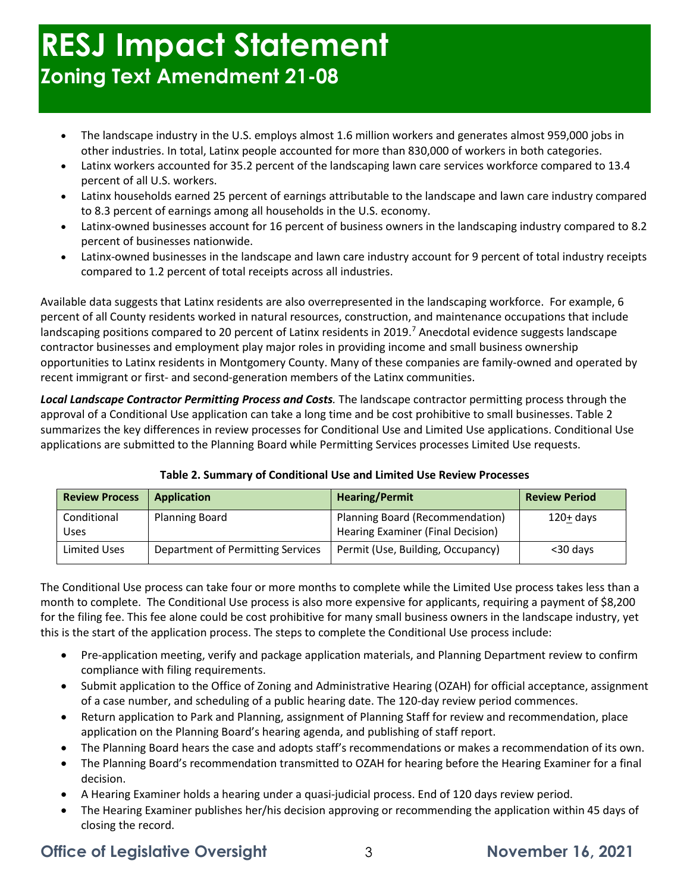# **RESJ Impact Statement Zoning Text Amendment 21-08**

- The landscape industry in the U.S. employs almost 1.6 million workers and generates almost 959,000 jobs in other industries. In total, Latinx people accounted for more than 830,000 of workers in both categories.
- Latinx workers accounted for 35.2 percent of the landscaping lawn care services workforce compared to 13.4 percent of all U.S. workers.
- Latinx households earned 25 percent of earnings attributable to the landscape and lawn care industry compared to 8.3 percent of earnings among all households in the U.S. economy.
- Latinx-owned businesses account for 16 percent of business owners in the landscaping industry compared to 8.2 percent of businesses nationwide.
- Latinx-owned businesses in the landscape and lawn care industry account for 9 percent of total industry receipts compared to 1.2 percent of total receipts across all industries.

Available data suggests that Latinx residents are also overrepresented in the landscaping workforce. For example, 6 percent of all County residents worked in natural resources, construction, and maintenance occupations that include landscaping positions compared to 20 percent of Latinx residents in 2019.<sup>[7](#page-6-3)</sup> Anecdotal evidence suggests landscape contractor businesses and employment play major roles in providing income and small business ownership opportunities to Latinx residents in Montgomery County. Many of these companies are family-owned and operated by recent immigrant or first- and second-generation members of the Latinx communities.

*Local Landscape Contractor Permitting Process and Costs.* The landscape contractor permitting process through the approval of a Conditional Use application can take a long time and be cost prohibitive to small businesses. Table 2 summarizes the key differences in review processes for Conditional Use and Limited Use applications. Conditional Use applications are submitted to the Planning Board while Permitting Services processes Limited Use requests.

| <b>Review Process</b> | <b>Application</b>                | <b>Hearing/Permit</b>                                                | <b>Review Period</b> |
|-----------------------|-----------------------------------|----------------------------------------------------------------------|----------------------|
| Conditional<br>Uses   | <b>Planning Board</b>             | Planning Board (Recommendation)<br>Hearing Examiner (Final Decision) | $120+ days$          |
| Limited Uses          | Department of Permitting Services | Permit (Use, Building, Occupancy)                                    | <30 days             |

#### **Table 2. Summary of Conditional Use and Limited Use Review Processes**

The Conditional Use process can take four or more months to complete while the Limited Use process takes less than a month to complete. The Conditional Use process is also more expensive for applicants, requiring a payment of \$8,200 for the filing fee. This fee alone could be cost prohibitive for many small business owners in the landscape industry, yet this is the start of the application process. The steps to complete the Conditional Use process include:

- Pre-application meeting, verify and package application materials, and Planning Department review to confirm compliance with filing requirements.
- Submit application to the Office of Zoning and Administrative Hearing (OZAH) for official acceptance, assignment of a case number, and scheduling of a public hearing date. The 120-day review period commences.
- Return application to Park and Planning, assignment of Planning Staff for review and recommendation, place application on the Planning Board's hearing agenda, and publishing of staff report.
- The Planning Board hears the case and adopts staff's recommendations or makes a recommendation of its own.
- The Planning Board's recommendation transmitted to OZAH for hearing before the Hearing Examiner for a final decision.
- A Hearing Examiner holds a hearing under a quasi-judicial process. End of 120 days review period.
- The Hearing Examiner publishes her/his decision approving or recommending the application within 45 days of closing the record.

## **Office of Legislative Oversight** 23 3 November 16, 2021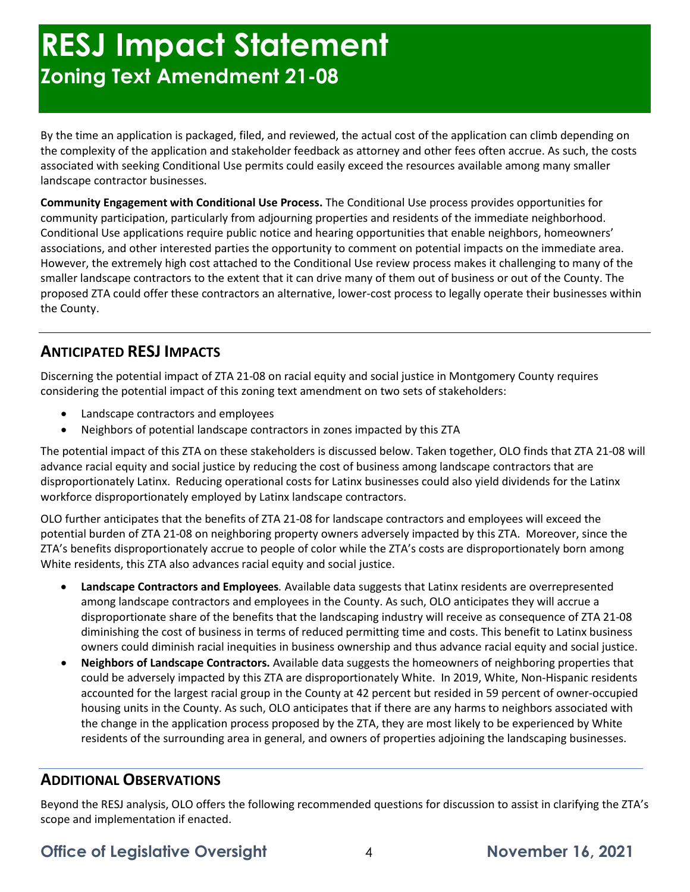# **RESJ Impact Statement Zoning Text Amendment 21-08**

By the time an application is packaged, filed, and reviewed, the actual cost of the application can climb depending on the complexity of the application and stakeholder feedback as attorney and other fees often accrue. As such, the costs associated with seeking Conditional Use permits could easily exceed the resources available among many smaller landscape contractor businesses.

**Community Engagement with Conditional Use Process.** The Conditional Use process provides opportunities for community participation, particularly from adjourning properties and residents of the immediate neighborhood. Conditional Use applications require public notice and hearing opportunities that enable neighbors, homeowners' associations, and other interested parties the opportunity to comment on potential impacts on the immediate area. However, the extremely high cost attached to the Conditional Use review process makes it challenging to many of the smaller landscape contractors to the extent that it can drive many of them out of business or out of the County. The proposed ZTA could offer these contractors an alternative, lower-cost process to legally operate their businesses within the County.

### **ANTICIPATED RESJ IMPACTS**

Discerning the potential impact of ZTA 21-08 on racial equity and social justice in Montgomery County requires considering the potential impact of this zoning text amendment on two sets of stakeholders:

- Landscape contractors and employees
- Neighbors of potential landscape contractors in zones impacted by this ZTA

The potential impact of this ZTA on these stakeholders is discussed below. Taken together, OLO finds that ZTA 21-08 will advance racial equity and social justice by reducing the cost of business among landscape contractors that are disproportionately Latinx. Reducing operational costs for Latinx businesses could also yield dividends for the Latinx workforce disproportionately employed by Latinx landscape contractors.

OLO further anticipates that the benefits of ZTA 21-08 for landscape contractors and employees will exceed the potential burden of ZTA 21-08 on neighboring property owners adversely impacted by this ZTA. Moreover, since the ZTA's benefits disproportionately accrue to people of color while the ZTA's costs are disproportionately born among White residents, this ZTA also advances racial equity and social justice.

- **Landscape Contractors and Employees***.* Available data suggests that Latinx residents are overrepresented among landscape contractors and employees in the County. As such, OLO anticipates they will accrue a disproportionate share of the benefits that the landscaping industry will receive as consequence of ZTA 21-08 diminishing the cost of business in terms of reduced permitting time and costs. This benefit to Latinx business owners could diminish racial inequities in business ownership and thus advance racial equity and social justice.
- **Neighbors of Landscape Contractors.** Available data suggests the homeowners of neighboring properties that could be adversely impacted by this ZTA are disproportionately White. In 2019, White, Non-Hispanic residents accounted for the largest racial group in the County at 42 percent but resided in 59 percent of owner-occupied housing units in the County. As such, OLO anticipates that if there are any harms to neighbors associated with the change in the application process proposed by the ZTA, they are most likely to be experienced by White residents of the surrounding area in general, and owners of properties adjoining the landscaping businesses.

### **ADDITIONAL OBSERVATIONS**

Beyond the RESJ analysis, OLO offers the following recommended questions for discussion to assist in clarifying the ZTA's scope and implementation if enacted.

**Office of Legislative Oversight** 4 **November 16, 2021**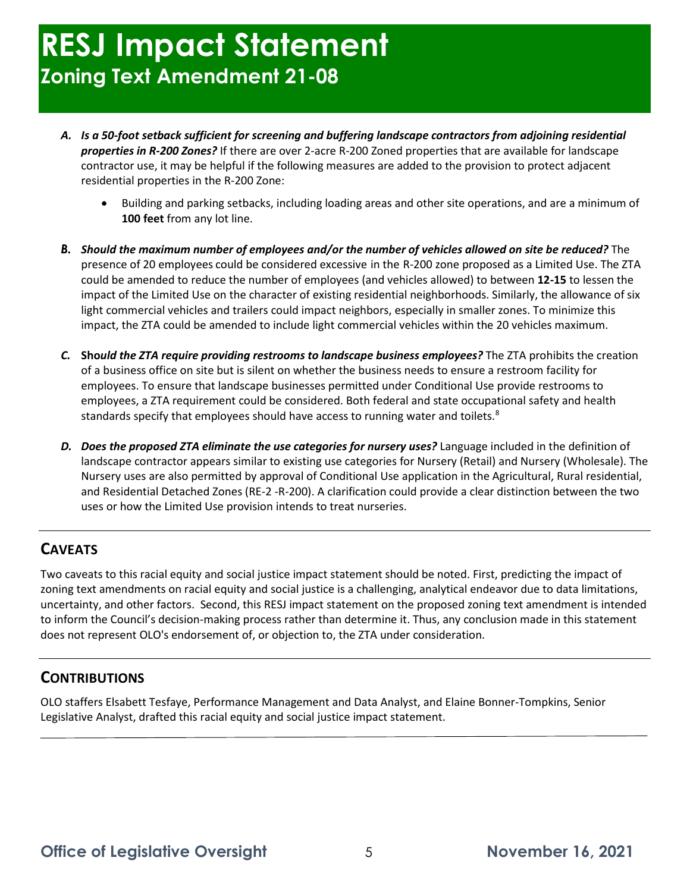- *A. Is a 50-foot setback sufficient for screening and buffering landscape contractors from adjoining residential properties in R-200 Zones?* If there are over 2-acre R-200 Zoned properties that are available for landscape contractor use, it may be helpful if the following measures are added to the provision to protect adjacent residential properties in the R-200 Zone:
	- Building and parking setbacks, including loading areas and other site operations, and are a minimum of **100 feet** from any lot line.
- *B. Should the maximum number of employees and/or the number of vehicles allowed on site be reduced?* The presence of 20 employees could be considered excessive in the R-200 zone proposed as a Limited Use. The ZTA could be amended to reduce the number of employees (and vehicles allowed) to between **12-15** to lessen the impact of the Limited Use on the character of existing residential neighborhoods. Similarly, the allowance of six light commercial vehicles and trailers could impact neighbors, especially in smaller zones. To minimize this impact, the ZTA could be amended to include light commercial vehicles within the 20 vehicles maximum.
- *C.* **Sho***uld the ZTA require providing restrooms to landscape business employees?* The ZTA prohibits the creation of a business office on site but is silent on whether the business needs to ensure a restroom facility for employees. To ensure that landscape businesses permitted under Conditional Use provide restrooms to employees, a ZTA requirement could be considered. Both federal and state occupational safety and health standards specify that employees should have access to running water and toilets.<sup>[8](#page-6-4)</sup>
- *D. Does the proposed ZTA eliminate the use categories for nursery uses?* Language included in the definition of landscape contractor appears similar to existing use categories for Nursery (Retail) and Nursery (Wholesale). The Nursery uses are also permitted by approval of Conditional Use application in the Agricultural, Rural residential, and Residential Detached Zones (RE-2 -R-200). A clarification could provide a clear distinction between the two uses or how the Limited Use provision intends to treat nurseries.

### **CAVEATS**

Two caveats to this racial equity and social justice impact statement should be noted. First, predicting the impact of zoning text amendments on racial equity and social justice is a challenging, analytical endeavor due to data limitations, uncertainty, and other factors. Second, this RESJ impact statement on the proposed zoning text amendment is intended to inform the Council's decision-making process rather than determine it. Thus, any conclusion made in this statement does not represent OLO's endorsement of, or objection to, the ZTA under consideration.

### **CONTRIBUTIONS**

OLO staffers Elsabett Tesfaye, Performance Management and Data Analyst, and Elaine Bonner-Tompkins, Senior Legislative Analyst, drafted this racial equity and social justice impact statement.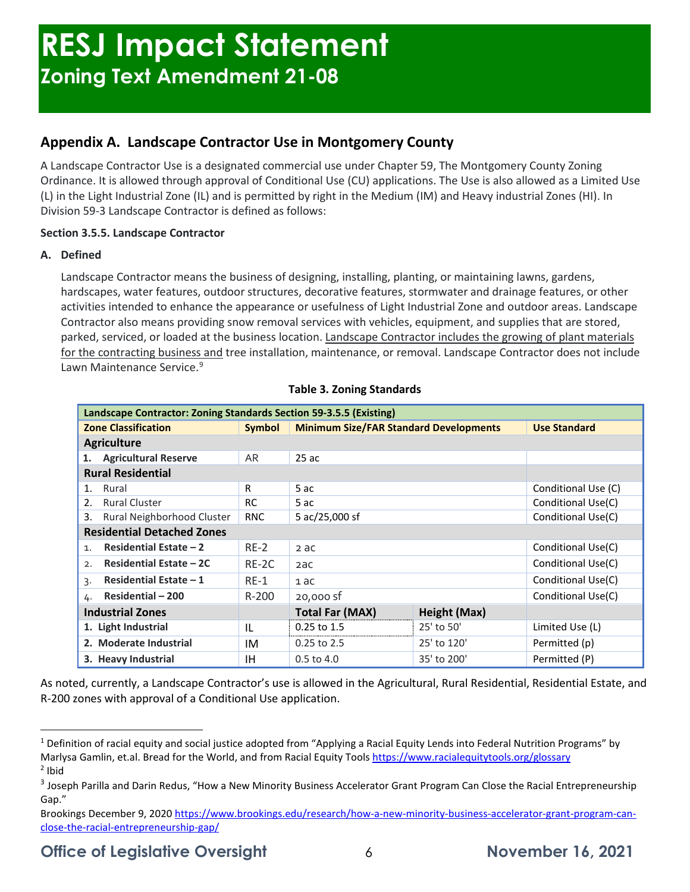### **Appendix A. Landscape Contractor Use in Montgomery County**

A Landscape Contractor Use is a designated commercial use under Chapter 59, The Montgomery County Zoning Ordinance. It is allowed through approval of Conditional Use (CU) applications. The Use is also allowed as a Limited Use (L) in the Light Industrial Zone (IL) and is permitted by right in the Medium (IM) and Heavy industrial Zones (HI). In Division 59-3 Landscape Contractor is defined as follows:

### **Section 3.5.5. Landscape Contractor**

#### **A. Defined**

Landscape Contractor means the business of designing, installing, planting, or maintaining lawns, gardens, hardscapes, water features, outdoor structures, decorative features, stormwater and drainage features, or other activities intended to enhance the appearance or usefulness of Light Industrial Zone and outdoor areas. Landscape Contractor also means providing snow removal services with vehicles, equipment, and supplies that are stored, parked, serviced, or loaded at the business location. Landscape Contractor includes the growing of plant materials for the contracting business and tree installation, maintenance, or removal. Landscape Contractor does not include Lawn Maintenance Service.<sup>[9](#page-6-5)</sup>

| Landscape Contractor: Zoning Standards Section 59-3.5.5 (Existing) |               |                                               |                     |                     |  |  |  |
|--------------------------------------------------------------------|---------------|-----------------------------------------------|---------------------|---------------------|--|--|--|
| <b>Zone Classification</b>                                         | <b>Symbol</b> | <b>Minimum Size/FAR Standard Developments</b> |                     | <b>Use Standard</b> |  |  |  |
| <b>Agriculture</b>                                                 |               |                                               |                     |                     |  |  |  |
| <b>Agricultural Reserve</b>                                        | <b>AR</b>     | 25ac                                          |                     |                     |  |  |  |
| <b>Rural Residential</b>                                           |               |                                               |                     |                     |  |  |  |
| Rural<br>1.                                                        | R             | 5 ac                                          | Conditional Use (C) |                     |  |  |  |
| <b>Rural Cluster</b><br>$\mathcal{L}$                              | <b>RC</b>     | 5 ac                                          | Conditional Use(C)  |                     |  |  |  |
| Rural Neighborhood Cluster<br>3.                                   | <b>RNC</b>    | 5 ac/25,000 sf                                | Conditional Use(C)  |                     |  |  |  |
| <b>Residential Detached Zones</b>                                  |               |                                               |                     |                     |  |  |  |
| Residential Estate $-2$<br>1 <sub>1</sub>                          | $RE-2$        | 2 ac                                          | Conditional Use(C)  |                     |  |  |  |
| <b>Residential Estate - 2C</b><br>2.                               | RE-2C         | 2ac                                           | Conditional Use(C)  |                     |  |  |  |
| Residential Estate $-1$<br>3.                                      | $RE-1$        | 1 ac                                          | Conditional Use(C)  |                     |  |  |  |
| Residential - 200<br>4.                                            | $R - 200$     | 20,000 sf                                     |                     | Conditional Use(C)  |  |  |  |
| <b>Industrial Zones</b>                                            |               | <b>Total Far (MAX)</b>                        | <b>Height (Max)</b> |                     |  |  |  |
| 1. Light Industrial                                                | IL            | 0.25 to 1.5                                   | 25' to 50'          | Limited Use (L)     |  |  |  |
| 2. Moderate Industrial                                             | IM            | $0.25$ to 2.5                                 | 25' to 120'         | Permitted (p)       |  |  |  |
| 3. Heavy Industrial                                                | <b>IH</b>     | $0.5$ to $4.0$                                | 35' to 200'         | Permitted (P)       |  |  |  |

#### **Table 3. Zoning Standards**

As noted, currently, a Landscape Contractor's use is allowed in the Agricultural, Rural Residential, Residential Estate, and R-200 zones with approval of a Conditional Use application.

<span id="page-5-0"></span><sup>&</sup>lt;sup>1</sup> Definition of racial equity and social justice adopted from "Applying a Racial Equity Lends into Federal Nutrition Programs" by Marlysa Gamlin, et.al. Bread for the World, and from Racial Equity Tool[s https://www.racialequitytools.org/glossary](https://www.racialequitytools.org/glossary)  $<sup>2</sup>$  Ibid</sup>

<span id="page-5-2"></span><span id="page-5-1"></span><sup>&</sup>lt;sup>3</sup> Joseph Parilla and Darin Redus, "How a New Minority Business Accelerator Grant Program Can Close the Racial Entrepreneurship Gap."

Brookings December 9, 2020 [https://www.brookings.edu/research/how-a-new-minority-business-accelerator-grant-program-can](https://www.brookings.edu/research/how-a-new-minority-business-accelerator-grant-program-can-close-the-racial-entrepreneurship-gap/)[close-the-racial-entrepreneurship-gap/](https://www.brookings.edu/research/how-a-new-minority-business-accelerator-grant-program-can-close-the-racial-entrepreneurship-gap/)